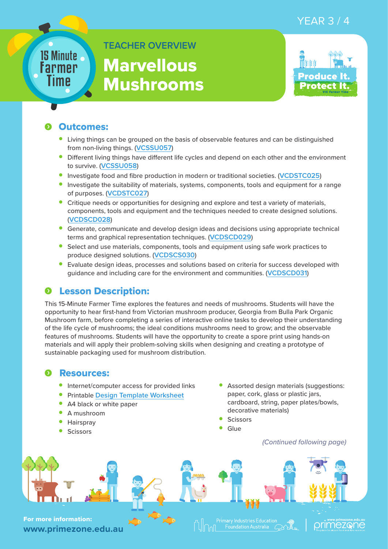## YEAR 3 / 4

# 15 Minute Farmer Time

**TEACHER OVERVIEW Marvellous** 

Mushrooms



#### Outcomes:

- Living things can be grouped on the basis of observable features and can be distinguished from non-living things. (**[VCSSU057](https://victoriancurriculum.vcaa.vic.edu.au/Curriculum/ContentDescription/VCSSU057)**)
- Different living things have different life cycles and depend on each other and the environment to survive. (**[VCSSU058](https://victoriancurriculum.vcaa.vic.edu.au/Curriculum/ContentDescription/VCSSU058)**)
- Investigate food and fibre production in modern or traditional societies. (**[VCDSTC025](https://victoriancurriculum.vcaa.vic.edu.au/Curriculum/ContentDescription/VCDSTC025)**)
- Investigate the suitability of materials, systems, components, tools and equipment for a range of purposes. (**[VCDSTC027](https://victoriancurriculum.vcaa.vic.edu.au/Curriculum/ContentDescription/VCDSTC027)**)
- Critique needs or opportunities for designing and explore and test a variety of materials, components, tools and equipment and the techniques needed to create designed solutions. (**[VCDSCD028](https://victoriancurriculum.vcaa.vic.edu.au/Curriculum/ContentDescription/VCDSCD028)**)
- Generate, communicate and develop design ideas and decisions using appropriate technical terms and graphical representation techniques. (**[VCDSCD029](https://victoriancurriculum.vcaa.vic.edu.au/Curriculum/ContentDescription/VCDSCD029)**)
- Select and use materials, components, tools and equipment using safe work practices to produce designed solutions. (**[VCDSCS030](https://victoriancurriculum.vcaa.vic.edu.au/Curriculum/ContentDescription/VCDSCD030)**)
- Evaluate design ideas, processes and solutions based on criteria for success developed with guidance and including care for the environment and communities. (**[VCDSCD031](https://victoriancurriculum.vcaa.vic.edu.au/Curriculum/ContentDescription/VCDSCD031)**)

# Lesson Description:

This 15-Minute Farmer Time explores the features and needs of mushrooms. Students will have the opportunity to hear first-hand from Victorian mushroom producer, Georgia from Bulla Park Organic Mushroom farm, before completing a series of interactive online tasks to develop their understanding of the life cycle of mushrooms; the ideal conditions mushrooms need to grow; and the observable features of mushrooms. Students will have the opportunity to create a spore print using hands-on materials and will apply their problem-solving skills when designing and creating a prototype of sustainable packaging used for mushroom distribution.

#### **O** Resources:

- Internet/computer access for provided links
- Printable **Design Template Worksheet**
- A4 black or white paper
- A mushroom
- Hairspray
- Scissors
- Assorted design materials (suggestions: paper, cork, glass or plastic jars, cardboard, string, paper plates/bowls, decorative materials)
- **Scissors**
- Glue

*(Continued following page)*